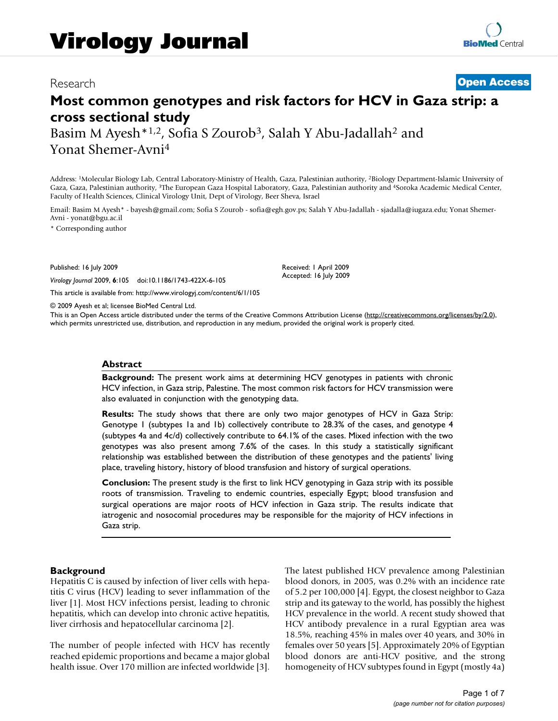## Research **[Open Access](http://www.biomedcentral.com/info/about/charter/)**

# **Most common genotypes and risk factors for HCV in Gaza strip: a cross sectional study**

Basim M Ayesh\*<sup>1,2</sup>, Sofia S Zourob<sup>3</sup>, Salah Y Abu-Jadallah<sup>2</sup> and Yonat Shemer-Avni4

Address: 1Molecular Biology Lab, Central Laboratory-Ministry of Health, Gaza, Palestinian authority, 2Biology Department-Islamic University of Gaza, Gaza, Palestinian authority, <sup>3</sup>The European Gaza Hospital Laboratory, Gaza, Palestinian authority and <sup>4</sup>Soroka Academic Medical Center, Faculty of Health Sciences, Clinical Virology Unit, Dept of Virology, Beer Sheva, Israel

Email: Basim M Ayesh\* - bayesh@gmail.com; Sofia S Zourob - sofia@egh.gov.ps; Salah Y Abu-Jadallah - sjadalla@iugaza.edu; Yonat Shemer-Avni - yonat@bgu.ac.il

\* Corresponding author

Published: 16 July 2009

*Virology Journal* 2009, **6**:105 doi:10.1186/1743-422X-6-105

[This article is available from: http://www.virologyj.com/content/6/1/105](http://www.virologyj.com/content/6/1/105)

© 2009 Ayesh et al; licensee BioMed Central Ltd.

This is an Open Access article distributed under the terms of the Creative Commons Attribution License [\(http://creativecommons.org/licenses/by/2.0\)](http://creativecommons.org/licenses/by/2.0), which permits unrestricted use, distribution, and reproduction in any medium, provided the original work is properly cited.

Received: 1 April 2009 Accepted: 16 July 2009

#### **Abstract**

**Background:** The present work aims at determining HCV genotypes in patients with chronic HCV infection, in Gaza strip, Palestine. The most common risk factors for HCV transmission were also evaluated in conjunction with the genotyping data.

**Results:** The study shows that there are only two major genotypes of HCV in Gaza Strip: Genotype 1 (subtypes 1a and 1b) collectively contribute to 28.3% of the cases, and genotype 4 (subtypes 4a and 4c/d) collectively contribute to 64.1% of the cases. Mixed infection with the two genotypes was also present among 7.6% of the cases. In this study a statistically significant relationship was established between the distribution of these genotypes and the patients' living place, traveling history, history of blood transfusion and history of surgical operations.

**Conclusion:** The present study is the first to link HCV genotyping in Gaza strip with its possible roots of transmission. Traveling to endemic countries, especially Egypt; blood transfusion and surgical operations are major roots of HCV infection in Gaza strip. The results indicate that iatrogenic and nosocomial procedures may be responsible for the majority of HCV infections in Gaza strip.

#### **Background**

Hepatitis C is caused by infection of liver cells with hepatitis C virus (HCV) leading to sever inflammation of the liver [1]. Most HCV infections persist, leading to chronic hepatitis, which can develop into chronic active hepatitis, liver cirrhosis and hepatocellular carcinoma [2].

The number of people infected with HCV has recently reached epidemic proportions and became a major global health issue. Over 170 million are infected worldwide [3]. The latest published HCV prevalence among Palestinian blood donors, in 2005, was 0.2% with an incidence rate of 5.2 per 100,000 [4]. Egypt, the closest neighbor to Gaza strip and its gateway to the world, has possibly the highest HCV prevalence in the world. A recent study showed that HCV antibody prevalence in a rural Egyptian area was 18.5%, reaching 45% in males over 40 years, and 30% in females over 50 years [5]. Approximately 20% of Egyptian blood donors are anti-HCV positive, and the strong homogeneity of HCV subtypes found in Egypt (mostly 4a)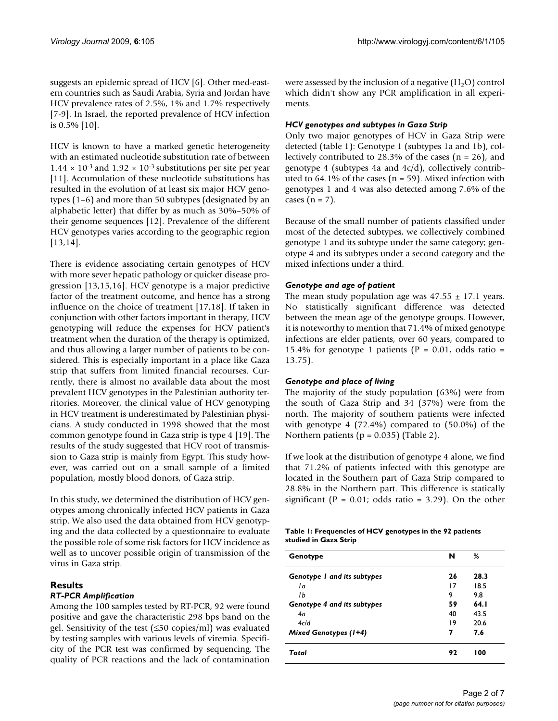suggests an epidemic spread of HCV [6]. Other med-eastern countries such as Saudi Arabia, Syria and Jordan have HCV prevalence rates of 2.5%, 1% and 1.7% respectively [7-9]. In Israel, the reported prevalence of HCV infection is 0.5% [10].

HCV is known to have a marked genetic heterogeneity with an estimated nucleotide substitution rate of between  $1.44 \times 10^{-3}$  and  $1.92 \times 10^{-3}$  substitutions per site per year [11]. Accumulation of these nucleotide substitutions has resulted in the evolution of at least six major HCV genotypes (1–6) and more than 50 subtypes (designated by an alphabetic letter) that differ by as much as 30%–50% of their genome sequences [12]. Prevalence of the different HCV genotypes varies according to the geographic region [13,14].

There is evidence associating certain genotypes of HCV with more sever hepatic pathology or quicker disease progression [13,15,16]. HCV genotype is a major predictive factor of the treatment outcome, and hence has a strong influence on the choice of treatment [17,18]. If taken in conjunction with other factors important in therapy, HCV genotyping will reduce the expenses for HCV patient's treatment when the duration of the therapy is optimized, and thus allowing a larger number of patients to be considered. This is especially important in a place like Gaza strip that suffers from limited financial recourses. Currently, there is almost no available data about the most prevalent HCV genotypes in the Palestinian authority territories. Moreover, the clinical value of HCV genotyping in HCV treatment is underestimated by Palestinian physicians. A study conducted in 1998 showed that the most common genotype found in Gaza strip is type 4 [19]. The results of the study suggested that HCV root of transmission to Gaza strip is mainly from Egypt. This study however, was carried out on a small sample of a limited population, mostly blood donors, of Gaza strip.

In this study, we determined the distribution of HCV genotypes among chronically infected HCV patients in Gaza strip. We also used the data obtained from HCV genotyping and the data collected by a questionnaire to evaluate the possible role of some risk factors for HCV incidence as well as to uncover possible origin of transmission of the virus in Gaza strip.

## **Results**

## *RT-PCR Amplification*

Among the 100 samples tested by RT-PCR, 92 were found positive and gave the characteristic 298 bps band on the gel. Sensitivity of the test (≤50 copies/ml) was evaluated by testing samples with various levels of viremia. Specificity of the PCR test was confirmed by sequencing. The quality of PCR reactions and the lack of contamination were assessed by the inclusion of a negative  $(H<sub>2</sub>O)$  control which didn't show any PCR amplification in all experiments.

## *HCV genotypes and subtypes in Gaza Strip*

Only two major genotypes of HCV in Gaza Strip were detected (table 1): Genotype 1 (subtypes 1a and 1b), collectively contributed to 28.3% of the cases  $(n = 26)$ , and genotype 4 (subtypes 4a and 4c/d), collectively contributed to  $64.1\%$  of the cases ( $n = 59$ ). Mixed infection with genotypes 1 and 4 was also detected among 7.6% of the cases  $(n = 7)$ .

Because of the small number of patients classified under most of the detected subtypes, we collectively combined genotype 1 and its subtype under the same category; genotype 4 and its subtypes under a second category and the mixed infections under a third.

## *Genotype and age of patient*

The mean study population age was  $47.55 \pm 17.1$  years. No statistically significant difference was detected between the mean age of the genotype groups. However, it is noteworthy to mention that 71.4% of mixed genotype infections are elder patients, over 60 years, compared to 15.4% for genotype 1 patients ( $P = 0.01$ , odds ratio = 13.75).

## *Genotype and place of living*

The majority of the study population (63%) were from the south of Gaza Strip and 34 (37%) were from the north. The majority of southern patients were infected with genotype 4 (72.4%) compared to (50.0%) of the Northern patients ( $p = 0.035$ ) (Table 2).

If we look at the distribution of genotype 4 alone, we find that 71.2% of patients infected with this genotype are located in the Southern part of Gaza Strip compared to 28.8% in the Northern part. This difference is statically significant ( $P = 0.01$ ; odds ratio = 3.29). On the other

|                       | Table 1: Frequencies of HCV genotypes in the 92 patients |
|-----------------------|----------------------------------------------------------|
| studied in Gaza Strip |                                                          |

| Genotype                    | N  | ℅    |
|-----------------------------|----|------|
| Genotype I and its subtypes | 26 | 28.3 |
| 1a                          | 17 | 18.5 |
| IЬ                          | 9  | 9.8  |
| Genotype 4 and its subtypes | 59 | 64.1 |
| 4a                          | 40 | 43.5 |
| 4c/d                        | 19 | 20.6 |
| Mixed Genotypes (1+4)       | 7  | 7.6  |
| Total                       | 92 | 100  |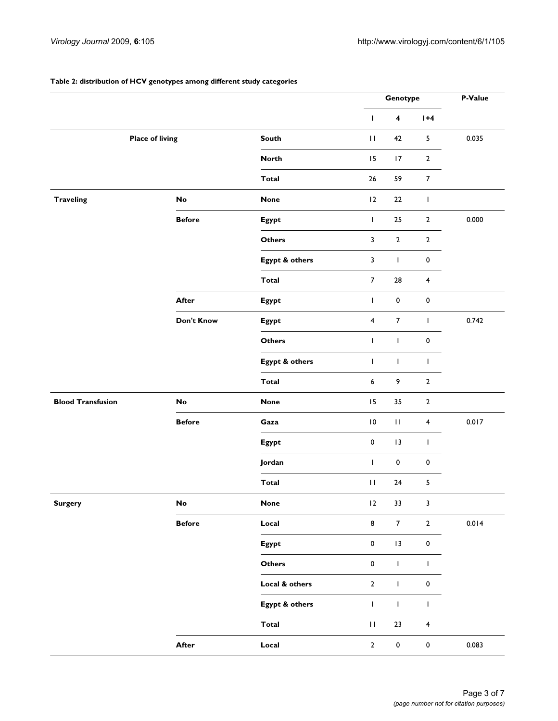#### **Table 2: distribution of HCV genotypes among different study categories**

|                          |                        |                |                         | Genotype                |                         | P-Value |
|--------------------------|------------------------|----------------|-------------------------|-------------------------|-------------------------|---------|
|                          |                        |                | п                       | $\overline{\mathbf{4}}$ | $1+4$                   |         |
|                          | <b>Place of living</b> | South          | $\mathbf{H}$            | 42                      | 5                       | 0.035   |
|                          |                        | <b>North</b>   | 15                      | 17                      | $\mathbf{2}$            |         |
|                          |                        | <b>Total</b>   | 26                      | 59                      | $\overline{7}$          |         |
| <b>Traveling</b>         | No                     | <b>None</b>    | $ 2\rangle$             | 22                      | $\mathbf{I}$            |         |
|                          | <b>Before</b>          | Egypt          | $\mathbf{I}$            | 25                      | $\overline{2}$          | 0.000   |
|                          |                        | <b>Others</b>  | 3                       | $\overline{2}$          | $\overline{2}$          |         |
|                          |                        | Egypt & others | 3                       | L                       | 0                       |         |
|                          |                        | <b>Total</b>   | $\overline{7}$          | ${\bf 28}$              | $\overline{\mathbf{4}}$ |         |
|                          | <b>After</b>           | Egypt          | $\mathbf{I}$            | $\pmb{0}$               | 0                       |         |
|                          | Don't Know             | Egypt          | $\overline{\mathbf{4}}$ | $\overline{7}$          | $\mathbf{I}$            | 0.742   |
|                          |                        | <b>Others</b>  | $\mathbf{I}$            | L                       | 0                       |         |
|                          |                        | Egypt & others | $\mathbf{I}$            | L                       | $\mathbf{I}$            |         |
|                          |                        | <b>Total</b>   | 6                       | 9                       | $\overline{2}$          |         |
| <b>Blood Transfusion</b> | No                     | <b>None</b>    | 15                      | 35                      | $\mathbf{2}$            |         |
|                          | <b>Before</b>          | Gaza           | $\overline{10}$         | $\mathbf{H}$            | $\overline{\mathbf{4}}$ | 0.017   |
|                          |                        | Egypt          | $\pmb{0}$               | 3                       | $\mathbf{I}$            |         |
|                          |                        | Jordan         | $\mathbf{I}$            | $\pmb{0}$               | 0                       |         |
|                          |                        | <b>Total</b>   | $\mathbf{H}$            | 24                      | 5                       |         |
| <b>Surgery</b>           | ${\sf No}$             | <b>None</b>    | 12                      | $33\,$                  | $\mathbf{3}$            |         |
|                          | <b>Before</b>          | Local          | 8                       | $\overline{7}$          | $\overline{2}$          | $0.014$ |
|                          |                        | Egypt          | $\pmb{0}$               | $ 3\rangle$             | $\pmb{0}$               |         |
|                          |                        | Others         | $\pmb{0}$               | $\mathsf{L}$            | $\mathbf{I}$            |         |
|                          |                        | Local & others | $\overline{2}$          | L                       | 0                       |         |
|                          |                        | Egypt & others | $\mathbf{I}$            | L                       | L                       |         |
|                          |                        | <b>Total</b>   | $\mathbf{H}$            | 23                      | $\overline{\mathbf{4}}$ |         |
|                          | After                  | Local          | $\mathbf 2$             | $\pmb{0}$               | $\pmb{0}$               | 0.083   |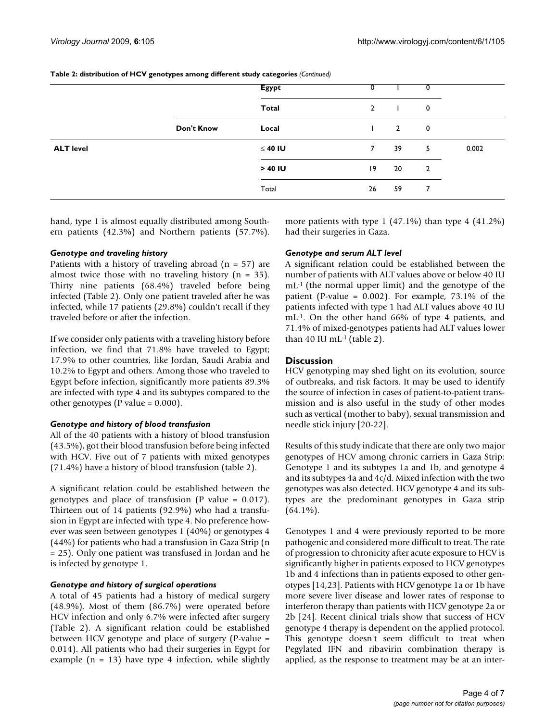|  | Table 2: distribution of HCV genotypes among different study categories (Continued) |  |
|--|-------------------------------------------------------------------------------------|--|
|--|-------------------------------------------------------------------------------------|--|

|                  |            | <b>Egypt</b> |              |                |                  |       |
|------------------|------------|--------------|--------------|----------------|------------------|-------|
|                  |            | Total        | $\mathbf{2}$ | $\mathbf{L}$   | $\boldsymbol{0}$ |       |
|                  | Don't Know | Local        |              | $\overline{2}$ | $\boldsymbol{0}$ |       |
| <b>ALT level</b> |            | $\leq 40$ IU | $7^{\circ}$  | 39             | 5                | 0.002 |
|                  |            | $>40$ IU     | $ 9\rangle$  | 20             | $\overline{2}$   |       |
|                  |            | Total        | 26           | 59             | 7                |       |

hand, type 1 is almost equally distributed among Southern patients (42.3%) and Northern patients (57.7%).

## *Genotype and traveling history*

Patients with a history of traveling abroad  $(n = 57)$  are almost twice those with no traveling history ( $n = 35$ ). Thirty nine patients (68.4%) traveled before being infected (Table 2). Only one patient traveled after he was infected, while 17 patients (29.8%) couldn't recall if they traveled before or after the infection.

If we consider only patients with a traveling history before infection, we find that 71.8% have traveled to Egypt; 17.9% to other countries, like Jordan, Saudi Arabia and 10.2% to Egypt and others. Among those who traveled to Egypt before infection, significantly more patients 89.3% are infected with type 4 and its subtypes compared to the other genotypes (P value = 0.000).

## *Genotype and history of blood transfusion*

All of the 40 patients with a history of blood transfusion (43.5%), got their blood transfusion before being infected with HCV. Five out of 7 patients with mixed genotypes (71.4%) have a history of blood transfusion (table 2).

A significant relation could be established between the genotypes and place of transfusion (P value = 0.017). Thirteen out of 14 patients (92.9%) who had a transfusion in Egypt are infected with type 4. No preference however was seen between genotypes 1 (40%) or genotypes 4 (44%) for patients who had a transfusion in Gaza Strip (n = 25). Only one patient was transfused in Jordan and he is infected by genotype 1.

## *Genotype and history of surgical operations*

A total of 45 patients had a history of medical surgery (48.9%). Most of them (86.7%) were operated before HCV infection and only 6.7% were infected after surgery (Table 2). A significant relation could be established between HCV genotype and place of surgery (P-value = 0.014). All patients who had their surgeries in Egypt for example  $(n = 13)$  have type 4 infection, while slightly more patients with type 1 (47.1%) than type 4 (41.2%) had their surgeries in Gaza.

## *Genotype and serum ALT level*

A significant relation could be established between the number of patients with ALT values above or below 40 IU mL-1 (the normal upper limit) and the genotype of the patient (P-value =  $0.002$ ). For example, 73.1% of the patients infected with type 1 had ALT values above 40 IU mL-1. On the other hand 66% of type 4 patients, and 71.4% of mixed-genotypes patients had ALT values lower than 40 IU mL $-1$  (table 2).

## **Discussion**

HCV genotyping may shed light on its evolution, source of outbreaks, and risk factors. It may be used to identify the source of infection in cases of patient-to-patient transmission and is also useful in the study of other modes such as vertical (mother to baby), sexual transmission and needle stick injury [20-22].

Results of this study indicate that there are only two major genotypes of HCV among chronic carriers in Gaza Strip: Genotype 1 and its subtypes 1a and 1b, and genotype 4 and its subtypes 4a and 4c/d. Mixed infection with the two genotypes was also detected. HCV genotype 4 and its subtypes are the predominant genotypes in Gaza strip  $(64.1\%)$ .

Genotypes 1 and 4 were previously reported to be more pathogenic and considered more difficult to treat. The rate of progression to chronicity after acute exposure to HCV is significantly higher in patients exposed to HCV genotypes 1b and 4 infections than in patients exposed to other genotypes [14,23]. Patients with HCV genotype 1a or 1b have more severe liver disease and lower rates of response to interferon therapy than patients with HCV genotype 2a or 2b [24]. Recent clinical trials show that success of HCV genotype 4 therapy is dependent on the applied protocol. This genotype doesn't seem difficult to treat when Pegylated IFN and ribavirin combination therapy is applied, as the response to treatment may be at an inter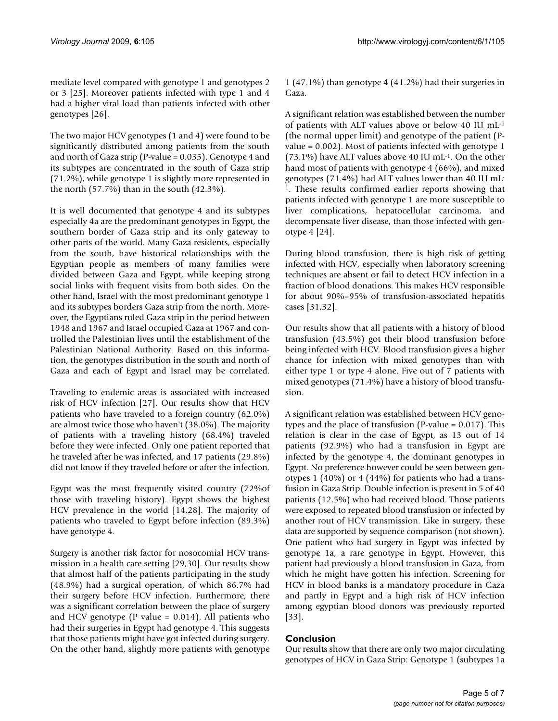mediate level compared with genotype 1 and genotypes 2 or 3 [25]. Moreover patients infected with type 1 and 4 had a higher viral load than patients infected with other genotypes [26].

The two major HCV genotypes (1 and 4) were found to be significantly distributed among patients from the south and north of Gaza strip (P-value = 0.035). Genotype 4 and its subtypes are concentrated in the south of Gaza strip (71.2%), while genotype 1 is slightly more represented in the north (57.7%) than in the south (42.3%).

It is well documented that genotype 4 and its subtypes especially 4a are the predominant genotypes in Egypt, the southern border of Gaza strip and its only gateway to other parts of the world. Many Gaza residents, especially from the south, have historical relationships with the Egyptian people as members of many families were divided between Gaza and Egypt, while keeping strong social links with frequent visits from both sides. On the other hand, Israel with the most predominant genotype 1 and its subtypes borders Gaza strip from the north. Moreover, the Egyptians ruled Gaza strip in the period between 1948 and 1967 and Israel occupied Gaza at 1967 and controlled the Palestinian lives until the establishment of the Palestinian National Authority. Based on this information, the genotypes distribution in the south and north of Gaza and each of Egypt and Israel may be correlated.

Traveling to endemic areas is associated with increased risk of HCV infection [27]. Our results show that HCV patients who have traveled to a foreign country (62.0%) are almost twice those who haven't (38.0%). The majority of patients with a traveling history (68.4%) traveled before they were infected. Only one patient reported that he traveled after he was infected, and 17 patients (29.8%) did not know if they traveled before or after the infection.

Egypt was the most frequently visited country (72%of those with traveling history). Egypt shows the highest HCV prevalence in the world [14,28]. The majority of patients who traveled to Egypt before infection (89.3%) have genotype 4.

Surgery is another risk factor for nosocomial HCV transmission in a health care setting [29,30]. Our results show that almost half of the patients participating in the study (48.9%) had a surgical operation, of which 86.7% had their surgery before HCV infection. Furthermore, there was a significant correlation between the place of surgery and HCV genotype (P value  $= 0.014$ ). All patients who had their surgeries in Egypt had genotype 4. This suggests that those patients might have got infected during surgery. On the other hand, slightly more patients with genotype

1 (47.1%) than genotype 4 (41.2%) had their surgeries in Gaza.

A significant relation was established between the number of patients with ALT values above or below 40 IU mL-1 (the normal upper limit) and genotype of the patient (Pvalue = 0.002). Most of patients infected with genotype 1 (73.1%) have ALT values above 40 IU mL-1. On the other hand most of patients with genotype 4 (66%), and mixed genotypes (71.4%) had ALT values lower than 40 IU mL-1. These results confirmed earlier reports showing that patients infected with genotype 1 are more susceptible to liver complications, hepatocellular carcinoma, and decompensate liver disease, than those infected with genotype 4 [24].

During blood transfusion, there is high risk of getting infected with HCV, especially when laboratory screening techniques are absent or fail to detect HCV infection in a fraction of blood donations. This makes HCV responsible for about 90%–95% of transfusion-associated hepatitis cases [31,32].

Our results show that all patients with a history of blood transfusion (43.5%) got their blood transfusion before being infected with HCV. Blood transfusion gives a higher chance for infection with mixed genotypes than with either type 1 or type 4 alone. Five out of 7 patients with mixed genotypes (71.4%) have a history of blood transfusion.

A significant relation was established between HCV genotypes and the place of transfusion (P-value = 0.017). This relation is clear in the case of Egypt, as 13 out of 14 patients (92.9%) who had a transfusion in Egypt are infected by the genotype 4, the dominant genotypes in Egypt. No preference however could be seen between genotypes 1 (40%) or 4 (44%) for patients who had a transfusion in Gaza Strip. Double infection is present in 5 of 40 patients (12.5%) who had received blood. Those patients were exposed to repeated blood transfusion or infected by another rout of HCV transmission. Like in surgery, these data are supported by sequence comparison (not shown). One patient who had surgery in Egypt was infected by genotype 1a, a rare genotype in Egypt. However, this patient had previously a blood transfusion in Gaza, from which he might have gotten his infection. Screening for HCV in blood banks is a mandatory procedure in Gaza and partly in Egypt and a high risk of HCV infection among egyptian blood donors was previously reported [33].

## **Conclusion**

Our results show that there are only two major circulating genotypes of HCV in Gaza Strip: Genotype 1 (subtypes 1a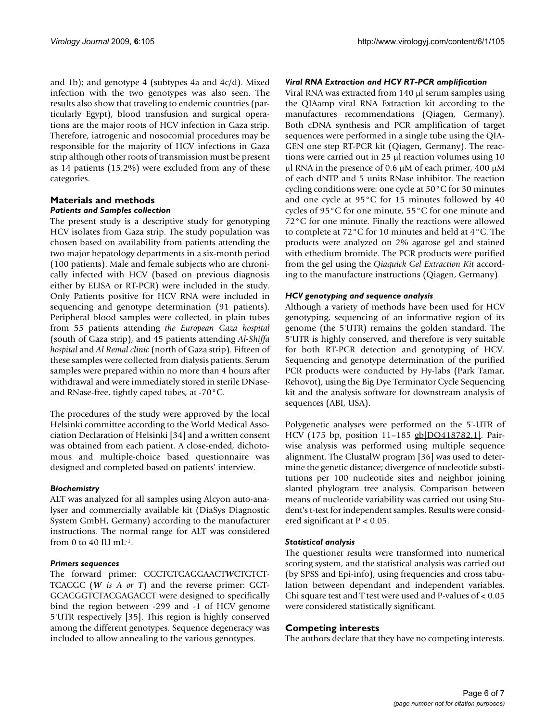and 1b); and genotype 4 (subtypes 4a and  $4c/d$ ). Mixed infection with the two genotypes was also seen. The results also show that traveling to endemic countries (particularly Egypt), blood transfusion and surgical operations are the major roots of HCV infection in Gaza strip. Therefore, iatrogenic and nosocomial procedures may be responsible for the majority of HCV infections in Gaza strip although other roots of transmission must be present as 14 patients (15.2%) were excluded from any of these categories.

## **Materials and methods** *Patients and Samples collection*

The present study is a descriptive study for genotyping HCV isolates from Gaza strip. The study population was chosen based on availability from patients attending the two major hepatology departments in a six-month period (100 patients). Male and female subjects who are chronically infected with HCV (based on previous diagnosis either by ELISA or RT-PCR) were included in the study. Only Patients positive for HCV RNA were included in sequencing and genotype determination (91 patients). Peripheral blood samples were collected, in plain tubes from 55 patients attending *the European Gaza hospital* (south of Gaza strip), and 45 patients attending *Al-Shiffa hospital* and *Al Remal clinic* (north of Gaza strip). Fifteen of these samples were collected from dialysis patients. Serum samples were prepared within no more than 4 hours after withdrawal and were immediately stored in sterile DNaseand RNase-free, tightly caped tubes, at -70°C.

The procedures of the study were approved by the local Helsinki committee according to the World Medical Association Declaration of Helsinki [34] and a written consent was obtained from each patient. A close-ended, dichotomous and multiple-choice based questionnaire was designed and completed based on patients' interview.

#### *Biochemistry*

ALT was analyzed for all samples using Alcyon auto-analyser and commercially available kit (DiaSys Diagnostic System GmbH, Germany) according to the manufacturer instructions. The normal range for ALT was considered from 0 to 40 IU mL $^{-1}$ .

#### *Primers sequences*

The forward primer: CCCTGTGAGGAACT*W*CTGTCT-TCACGC (*W is A or T*) and the reverse primer: GGT-GCACGGTCTACGAGACCT were designed to specifically bind the region between -299 and -1 of HCV genome 5'UTR respectively [35]. This region is highly conserved among the different genotypes. Sequence degeneracy was included to allow annealing to the various genotypes.

#### *Viral RNA Extraction and HCV RT-PCR amplification*

Viral RNA was extracted from 140 μl serum samples using the QIAamp viral RNA Extraction kit according to the manufactures recommendations (Qiagen, Germany). Both cDNA synthesis and PCR amplification of target sequences were performed in a single tube using the QIA-GEN one step RT-PCR kit (Qiagen, Germany). The reactions were carried out in 25 μl reaction volumes using 10 μl RNA in the presence of 0.6 μM of each primer, 400 μM of each dNTP and 5 units RNase inhibitor. The reaction cycling conditions were: one cycle at 50°C for 30 minutes and one cycle at 95°C for 15 minutes followed by 40 cycles of 95°C for one minute, 55°C for one minute and 72°C for one minute. Finally the reactions were allowed to complete at 72°C for 10 minutes and held at 4°C. The products were analyzed on 2% agarose gel and stained with ethedium bromide. The PCR products were purified from the gel using the *Qiaquick Gel Extraction Kit* according to the manufacture instructions (Qiagen, Germany).

#### *HCV genotyping and sequence analysis*

Although a variety of methods have been used for HCV genotyping, sequencing of an informative region of its genome (the 5'UTR) remains the golden standard. The 5'UTR is highly conserved, and therefore is very suitable for both RT-PCR detection and genotyping of HCV. Sequencing and genotype determination of the purified PCR products were conducted by Hy-labs (Park Tamar, Rehovot), using the Big Dye Terminator Cycle Sequencing kit and the analysis software for downstream analysis of sequences (ABI, USA).

Polygenetic analyses were performed on the 5'-UTR of HCV (175 bp, position 11-185 gb|DQ418782.1|. Pairwise analysis was performed using multiple sequence alignment. The ClustalW program [36] was used to determine the genetic distance; divergence of nucleotide substitutions per 100 nucleotide sites and neighbor joining slanted phylogram tree analysis. Comparison between means of nucleotide variability was carried out using Student's t-test for independent samples. Results were considered significant at P < 0.05.

## *Statistical analysis*

The questioner results were transformed into numerical scoring system, and the statistical analysis was carried out (by SPSS and Epi-info), using frequencies and cross tabulation between dependant and independent variables. Chi square test and T test were used and P-values of < 0.05 were considered statistically significant.

#### **Competing interests**

The authors declare that they have no competing interests.